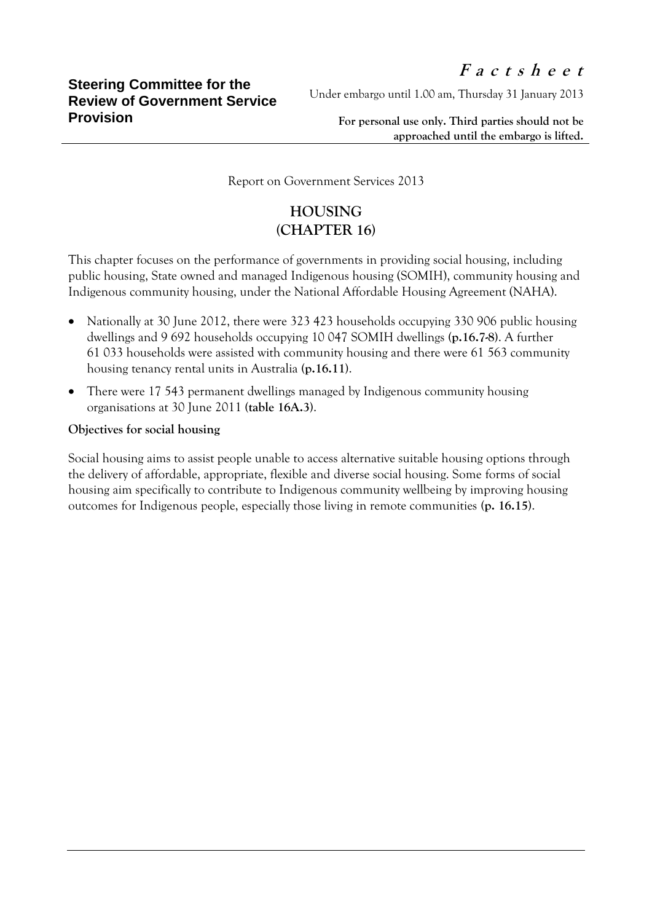Under embargo until 1.00 am, Thursday 31 January 2013

**For personal use only. Third parties should not be approached until the embargo is lifted.**

Report on Government Services 2013

## **HOUSING (CHAPTER 16)**

This chapter focuses on the performance of governments in providing social housing, including public housing, State owned and managed Indigenous housing (SOMIH), community housing and Indigenous community housing, under the National Affordable Housing Agreement (NAHA).

- Nationally at 30 June 2012, there were 323 423 households occupying 330 906 public housing dwellings and 9 692 households occupying 10 047 SOMIH dwellings **(p.16.7-8)**. A further 61 033 households were assisted with community housing and there were 61 563 community housing tenancy rental units in Australia **(p.16.11)**.
- There were 17 543 permanent dwellings managed by Indigenous community housing organisations at 30 June 2011 **(table 16A.3)**.

## **Objectives for social housing**

Social housing aims to assist people unable to access alternative suitable housing options through the delivery of affordable, appropriate, flexible and diverse social housing. Some forms of social housing aim specifically to contribute to Indigenous community wellbeing by improving housing outcomes for Indigenous people, especially those living in remote communities **(p. 16.15)**.